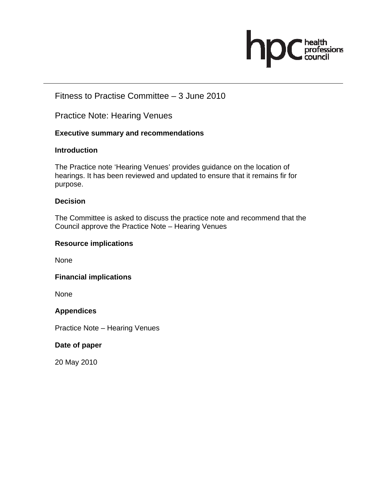

# Fitness to Practise Committee – 3 June 2010

Practice Note: Hearing Venues

### **Executive summary and recommendations**

#### **Introduction**

The Practice note 'Hearing Venues' provides guidance on the location of hearings. It has been reviewed and updated to ensure that it remains fir for purpose.

#### **Decision**

The Committee is asked to discuss the practice note and recommend that the Council approve the Practice Note – Hearing Venues

#### **Resource implications**

None

### **Financial implications**

None

#### **Appendices**

Practice Note – Hearing Venues

### **Date of paper**

20 May 2010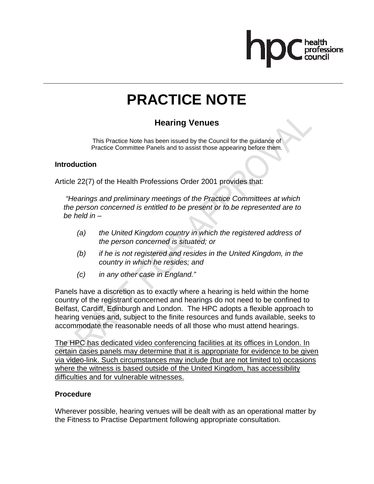# **PRACTICE NOTE**

## **Hearing Venues**

This Practice Note has been issued by the Council for the guidance of Practice Committee Panels and to assist those appearing before them.

#### **Introduction**

Article 22(7) of the Health Professions Order 2001 provides that:

 *"Hearings and preliminary meetings of the Practice Committees at which the person concerned is entitled to be present or to be represented are to be held in –* 

- *(a) the United Kingdom country in which the registered address of the person concerned is situated; or*
- *(b) if he is not registered and resides in the United Kingdom, in the country in which he resides; and*
- *(c) in any other case in England."*

Panels have a discretion as to exactly where a hearing is held within the home country of the registrant concerned and hearings do not need to be confined to Belfast, Cardiff, Edinburgh and London. The HPC adopts a flexible approach to hearing venues and, subject to the finite resources and funds available, seeks to accommodate the reasonable needs of all those who must attend hearings.

The HPC has dedicated video conferencing facilities at its offices in London. In certain cases panels may determine that it is appropriate for evidence to be given via video-link. Such circumstances may include (but are not limited to) occasions where the witness is based outside of the United Kingdom, has accessibility difficulties and for vulnerable witnesses.

#### **Procedure**

Wherever possible, hearing venues will be dealt with as an operational matter by the Fitness to Practise Department following appropriate consultation.